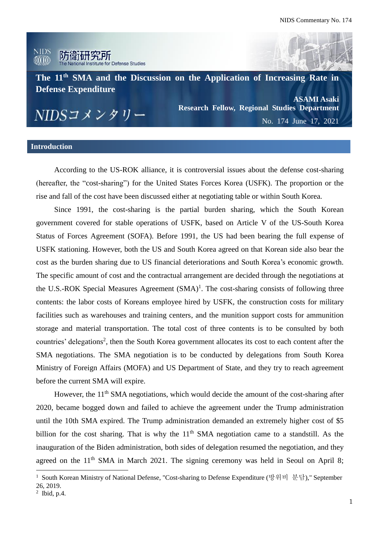

### **Introduction**

According to the US-ROK alliance, it is controversial issues about the defense cost-sharing (hereafter, the "cost-sharing") for the United States Forces Korea (USFK). The proportion or the rise and fall of the cost have been discussed either at negotiating table or within South Korea.

Since 1991, the cost-sharing is the partial burden sharing, which the South Korean government covered for stable operations of USFK, based on Article V of the US-South Korea Status of Forces Agreement (SOFA). Before 1991, the US had been bearing the full expense of USFK stationing. However, both the US and South Korea agreed on that Korean side also bear the cost as the burden sharing due to US financial deteriorations and South Korea's economic growth. The specific amount of cost and the contractual arrangement are decided through the negotiations at the U.S.-ROK Special Measures Agreement  $(SMA)^1$ . The cost-sharing consists of following three contents: the labor costs of Koreans employee hired by USFK, the construction costs for military facilities such as warehouses and training centers, and the munition support costs for ammunition storage and material transportation. The total cost of three contents is to be consulted by both countries' delegations<sup>2</sup>, then the South Korea government allocates its cost to each content after the SMA negotiations. The SMA negotiation is to be conducted by delegations from South Korea Ministry of Foreign Affairs (MOFA) and US Department of State, and they try to reach agreement before the current SMA will expire.

However, the 11<sup>th</sup> SMA negotiations, which would decide the amount of the cost-sharing after 2020, became bogged down and failed to achieve the agreement under the Trump administration until the 10th SMA expired. The Trump administration demanded an extremely higher cost of \$5 billion for the cost sharing. That is why the  $11<sup>th</sup>$  SMA negotiation came to a standstill. As the inauguration of the Biden administration, both sides of delegation resumed the negotiation, and they agreed on the  $11<sup>th</sup> SMA$  in March 2021. The signing ceremony was held in Seoul on April 8;

<sup>1</sup> South Korean Ministry of National Defense, "Cost-sharing to Defense Expenditure (방위비 분담)," September 26, 2019.

 $<sup>2</sup>$  Ibid, p.4.</sup>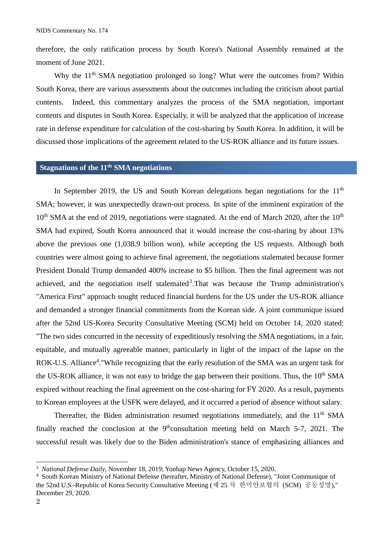therefore, the only ratification process by South Korea's National Assembly remained at the moment of June 2021.

Why the  $11<sup>th</sup> SMA$  negotiation prolonged so long? What were the outcomes from? Within South Korea, there are various assessments about the outcomes including the criticism about partial contents. Indeed, this commentary analyzes the process of the SMA negotiation, important contents and disputes in South Korea. Especially, it will be analyzed that the application of increase rate in defense expenditure for calculation of the cost-sharing by South Korea. In addition, it will be discussed those implications of the agreement related to the US-ROK alliance and its future issues.

## **Stagnations of the 11th SMA negotiations**

In September 2019, the US and South Korean delegations began negotiations for the  $11<sup>th</sup>$ SMA; however, it was unexpectedly drawn-out process. In spite of the imminent expiration of the  $10<sup>th</sup>$  SMA at the end of 2019, negotiations were stagnated. At the end of March 2020, after the  $10<sup>th</sup>$ SMA had expired, South Korea announced that it would increase the cost-sharing by about 13% above the previous one (1,038.9 billion won), while accepting the US requests. Although both countries were almost going to achieve final agreement, the negotiations stalemated because former President Donald Trump demanded 400% increase to \$5 billion. Then the final agreement was not achieved, and the negotiation itself stalemated<sup>3</sup>. That was because the Trump administration's "America First" approach sought reduced financial burdens for the US under the US-ROK alliance and demanded a stronger financial commitments from the Korean side. A joint communique issued after the 52nd US-Korea Security Consultative Meeting (SCM) held on October 14, 2020 stated: "The two sides concurred in the necessity of expeditiously resolving the SMA negotiations, in a fair, equitable, and mutually agreeable manner, particularly in light of the impact of the lapse on the ROK-U.S. Alliance<sup>4</sup>. "While recognizing that the early resolution of the SMA was an urgent task for the US-ROK alliance, it was not easy to bridge the gap between their positions. Thus, the 10<sup>th</sup> SMA expired without reaching the final agreement on the cost-sharing for FY 2020. As a result, payments to Korean employees at the USFK were delayed, and it occurred a period of absence without salary.

Thereafter, the Biden administration resumed negotiations immediately, and the 11<sup>th</sup> SMA finally reached the conclusion at the  $9<sup>th</sup>$ consultation meeting held on March 5-7, 2021. The successful result was likely due to the Biden administration's stance of emphasizing alliances and

 $\overline{\phantom{a}}$ 

<sup>3</sup> *National Defense Daily*, November 18, 2019; Yonhap News Agency, October 15, 2020.

<sup>4</sup> South Korean Ministry of National Defense (hereafter, Ministry of National Defense), "Joint Communique of the 52nd U.S.-Republic of Korea Security Consultative Meeting (제 25 차 한미안보협의 (SCM) 공동성명)," December 29, 2020.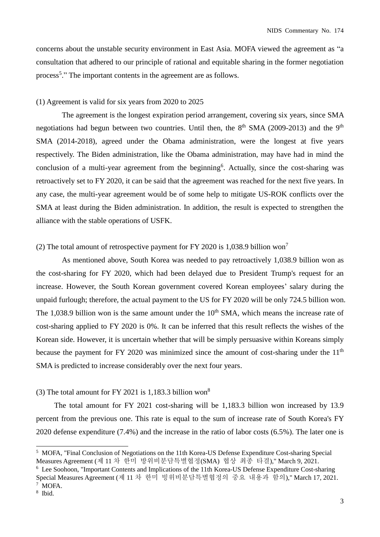concerns about the unstable security environment in East Asia. MOFA viewed the agreement as "a consultation that adhered to our principle of rational and equitable sharing in the former negotiation process<sup>5</sup>." The important contents in the agreement are as follows.

### (1) Agreement is valid for six years from 2020 to 2025

The agreement is the longest expiration period arrangement, covering six years, since SMA negotiations had begun between two countries. Until then, the  $8<sup>th</sup> SMA$  (2009-2013) and the 9<sup>th</sup> SMA (2014-2018), agreed under the Obama administration, were the longest at five years respectively. The Biden administration, like the Obama administration, may have had in mind the conclusion of a multi-year agreement from the beginning<sup>6</sup>. Actually, since the cost-sharing was retroactively set to FY 2020, it can be said that the agreement was reached for the next five years. In any case, the multi-year agreement would be of some help to mitigate US-ROK conflicts over the SMA at least during the Biden administration. In addition, the result is expected to strengthen the alliance with the stable operations of USFK.

### (2) The total amount of retrospective payment for FY 2020 is 1,038.9 billion won<sup>7</sup>

As mentioned above, South Korea was needed to pay retroactively 1,038.9 billion won as the cost-sharing for FY 2020, which had been delayed due to President Trump's request for an increase. However, the South Korean government covered Korean employees' salary during the unpaid furlough; therefore, the actual payment to the US for FY 2020 will be only 724.5 billion won. The 1,038.9 billion won is the same amount under the  $10<sup>th</sup> SMA$ , which means the increase rate of cost-sharing applied to FY 2020 is 0%. It can be inferred that this result reflects the wishes of the Korean side. However, it is uncertain whether that will be simply persuasive within Koreans simply because the payment for FY 2020 was minimized since the amount of cost-sharing under the  $11<sup>th</sup>$ SMA is predicted to increase considerably over the next four years.

# (3) The total amount for FY 2021 is 1,183.3 billion won<sup>8</sup>

The total amount for FY 2021 cost-sharing will be 1,183.3 billion won increased by 13.9 percent from the previous one. This rate is equal to the sum of increase rate of South Korea's FY 2020 defense expenditure (7.4%) and the increase in the ratio of labor costs (6.5%). The later one is

 $\overline{a}$ 

<sup>5</sup> MOFA, "Final Conclusion of Negotiations on the 11th Korea-US Defense Expenditure Cost-sharing Special Measures Agreement (제 11 차 한미 방위비분담특별협정(SMA) 협상 최종 타결)," March 9, 2021.

<sup>6</sup> Lee Soohoon, "Important Contents and Implications of the 11th Korea-US Defense Expenditure Cost-sharing Special Measures Agreement (제 11 차 한미 빙위비분담특별협정의 중요 내용과 함의)," March 17, 2021.

<sup>7</sup> MOFA.

<sup>8</sup> Ibid.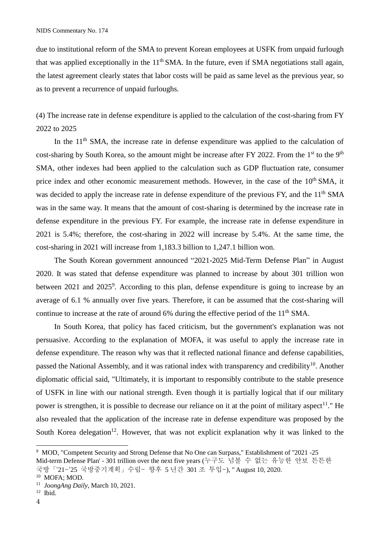due to institutional reform of the SMA to prevent Korean employees at USFK from unpaid furlough that was applied exceptionally in the  $11<sup>th</sup> SMA$ . In the future, even if SMA negotiations stall again, the latest agreement clearly states that labor costs will be paid as same level as the previous year, so as to prevent a recurrence of unpaid furloughs.

(4) The increase rate in defense expenditure is applied to the calculation of the cost-sharing from FY 2022 to 2025

In the  $11<sup>th</sup> SMA$ , the increase rate in defense expenditure was applied to the calculation of cost-sharing by South Korea, so the amount might be increase after FY 2022. From the 1<sup>st</sup> to the 9<sup>th</sup> SMA, other indexes had been applied to the calculation such as GDP fluctuation rate, consumer price index and other economic measurement methods. However, in the case of the 10<sup>th</sup> SMA, it was decided to apply the increase rate in defense expenditure of the previous FY, and the 11<sup>th</sup> SMA was in the same way. It means that the amount of cost-sharing is determined by the increase rate in defense expenditure in the previous FY. For example, the increase rate in defense expenditure in 2021 is 5.4%; therefore, the cost-sharing in 2022 will increase by 5.4%. At the same time, the cost-sharing in 2021 will increase from 1,183.3 billion to 1,247.1 billion won.

The South Korean government announced "2021-2025 Mid-Term Defense Plan" in August 2020. It was stated that defense expenditure was planned to increase by about 301 trillion won between 2021 and 2025<sup>9</sup>. According to this plan, defense expenditure is going to increase by an average of 6.1 % annually over five years. Therefore, it can be assumed that the cost-sharing will continue to increase at the rate of around 6% during the effective period of the 11<sup>th</sup> SMA.

In South Korea, that policy has faced criticism, but the government's explanation was not persuasive. According to the explanation of MOFA, it was useful to apply the increase rate in defense expenditure. The reason why was that it reflected national finance and defense capabilities, passed the National Assembly, and it was rational index with transparency and credibility<sup>10</sup>. Another diplomatic official said, "Ultimately, it is important to responsibly contribute to the stable presence of USFK in line with our national strength. Even though it is partially logical that if our military power is strengthen, it is possible to decrease our reliance on it at the point of military aspect<sup>11</sup>." He also revealed that the application of the increase rate in defense expenditure was proposed by the South Korea delegation<sup>12</sup>. However, that was not explicit explanation why it was linked to the

<sup>9</sup> MOD, "Competent Security and Strong Defense that No One can Surpass," Establishment of ''2021 -25 Mid-term Defense Plan' - 301 trillion over the next five years (누구도 넘볼 수 없는 유능한 안보 튼튼한 국방「'21-'25 국방중기계획」수립- 향후 5 년간 301 조 투입-), " August 10, 2020.

<sup>10</sup> MOFA; MOD.

<sup>11</sup> *JoongAng Daily*, March 10, 2021.

<sup>12</sup> Ibid.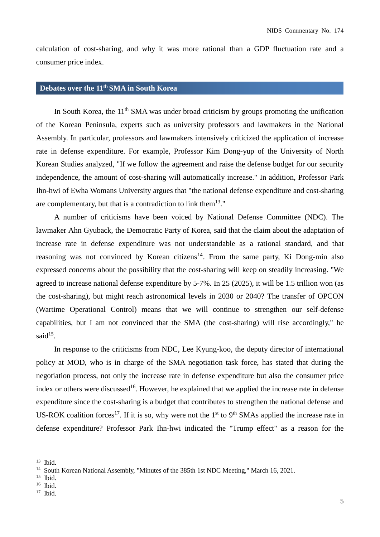calculation of cost-sharing, and why it was more rational than a GDP fluctuation rate and a consumer price index.

## **Debates over the 11th SMA in South Korea**

In South Korea, the 11<sup>th</sup> SMA was under broad criticism by groups promoting the unification of the Korean Peninsula, experts such as university professors and lawmakers in the National Assembly. In particular, professors and lawmakers intensively criticized the application of increase rate in defense expenditure. For example, Professor Kim Dong-yup of the University of North Korean Studies analyzed, "If we follow the agreement and raise the defense budget for our security independence, the amount of cost-sharing will automatically increase." In addition, Professor Park Ihn-hwi of Ewha Womans University argues that "the national defense expenditure and cost-sharing are complementary, but that is a contradiction to link them<sup>13."</sup>

A number of criticisms have been voiced by National Defense Committee (NDC). The lawmaker Ahn Gyuback, the Democratic Party of Korea, said that the claim about the adaptation of increase rate in defense expenditure was not understandable as a rational standard, and that reasoning was not convinced by Korean citizens<sup>14</sup>. From the same party, Ki Dong-min also expressed concerns about the possibility that the cost-sharing will keep on steadily increasing. "We agreed to increase national defense expenditure by 5-7%. In 25 (2025), it will be 1.5 trillion won (as the cost-sharing), but might reach astronomical levels in 2030 or 2040? The transfer of OPCON (Wartime Operational Control) means that we will continue to strengthen our self-defense capabilities, but I am not convinced that the SMA (the cost-sharing) will rise accordingly," he said<sup>15</sup>.

In response to the criticisms from NDC, Lee Kyung-koo, the deputy director of international policy at MOD, who is in charge of the SMA negotiation task force, has stated that during the negotiation process, not only the increase rate in defense expenditure but also the consumer price index or others were discussed<sup>16</sup>. However, he explained that we applied the increase rate in defense expenditure since the cost-sharing is a budget that contributes to strengthen the national defense and US-ROK coalition forces<sup>17</sup>. If it is so, why were not the 1<sup>st</sup> to 9<sup>th</sup> SMAs applied the increase rate in defense expenditure? Professor Park Ihn-hwi indicated the "Trump effect" as a reason for the

<sup>13</sup> Ibid.

<sup>&</sup>lt;sup>14</sup> South Korean National Assembly, "Minutes of the 385th 1st NDC Meeting," March 16, 2021.

 $15$  Ibid.

<sup>16</sup> Ibid.

<sup>17</sup> Ibid.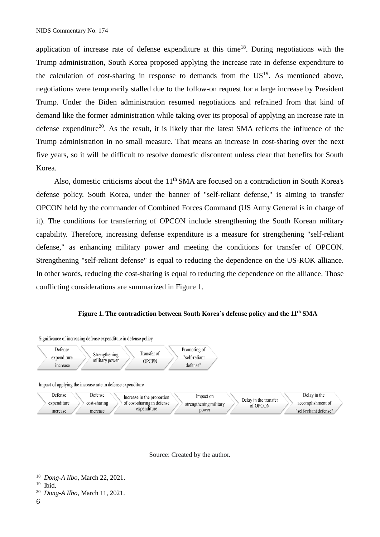application of increase rate of defense expenditure at this time<sup>18</sup>. During negotiations with the Trump administration, South Korea proposed applying the increase rate in defense expenditure to the calculation of cost-sharing in response to demands from the  $US<sup>19</sup>$ . As mentioned above, negotiations were temporarily stalled due to the follow-on request for a large increase by President Trump. Under the Biden administration resumed negotiations and refrained from that kind of demand like the former administration while taking over its proposal of applying an increase rate in defense expenditure<sup>20</sup>. As the result, it is likely that the latest SMA reflects the influence of the Trump administration in no small measure. That means an increase in cost-sharing over the next five years, so it will be difficult to resolve domestic discontent unless clear that benefits for South Korea.

Also, domestic criticisms about the 11<sup>th</sup> SMA are focused on a contradiction in South Korea's defense policy. South Korea, under the banner of "self-reliant defense," is aiming to transfer OPCON held by the commander of Combined Forces Command (US Army General is in charge of it). The conditions for transferring of OPCON include strengthening the South Korean military capability. Therefore, increasing defense expenditure is a measure for strengthening "self-reliant defense," as enhancing military power and meeting the conditions for transfer of OPCON. Strengthening "self-reliant defense" is equal to reducing the dependence on the US-ROK alliance. In other words, reducing the cost-sharing is equal to reducing the dependence on the alliance. Those conflicting considerations are summarized in Figure 1.

#### **Figure 1. The contradiction between South Korea's defense policy and the 11th SMA**



Source: Created by the author.

<sup>18</sup> *Dong-A Ilbo*, March 22, 2021.

<sup>19</sup> Ibid.

<sup>20</sup> *Dong-A Ilbo*, March 11, 2021.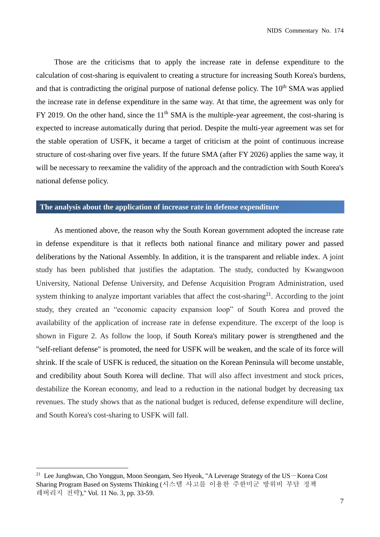Those are the criticisms that to apply the increase rate in defense expenditure to the calculation of cost-sharing is equivalent to creating a structure for increasing South Korea's burdens, and that is contradicting the original purpose of national defense policy. The 10<sup>th</sup> SMA was applied the increase rate in defense expenditure in the same way. At that time, the agreement was only for FY 2019. On the other hand, since the  $11<sup>th</sup> SMA$  is the multiple-year agreement, the cost-sharing is expected to increase automatically during that period. Despite the multi-year agreement was set for the stable operation of USFK, it became a target of criticism at the point of continuous increase structure of cost-sharing over five years. If the future SMA (after FY 2026) applies the same way, it will be necessary to reexamine the validity of the approach and the contradiction with South Korea's national defense policy.

## **The analysis about the application of increase rate in defense expenditure**

As mentioned above, the reason why the South Korean government adopted the increase rate in defense expenditure is that it reflects both national finance and military power and passed deliberations by the National Assembly. In addition, it is the transparent and reliable index. A joint study has been published that justifies the adaptation. The study, conducted by Kwangwoon University, National Defense University, and Defense Acquisition Program Administration, used system thinking to analyze important variables that affect the cost-sharing<sup>21</sup>. According to the joint study, they created an "economic capacity expansion loop" of South Korea and proved the availability of the application of increase rate in defense expenditure. The excerpt of the loop is shown in Figure 2. As follow the loop, if South Korea's military power is strengthened and the "self-reliant defense" is promoted, the need for USFK will be weaken, and the scale of its force will shrink. If the scale of USFK is reduced, the situation on the Korean Peninsula will become unstable, and credibility about South Korea will decline. That will also affect investment and stock prices, destabilize the Korean economy, and lead to a reduction in the national budget by decreasing tax revenues. The study shows that as the national budget is reduced, defense expenditure will decline, and South Korea's cost-sharing to USFK will fall.

<sup>&</sup>lt;sup>21</sup> Lee Junghwan, Cho Yonggun, Moon Seongam, Seo Hyeok, "A Leverage Strategy of the US-Korea Cost Sharing Program Based on Systems Thinking (시스템 사고를 이용한 주한미군 방위비 부담 정책 레버리지 전략)," Vol. 11 No. 3, pp. 33-59.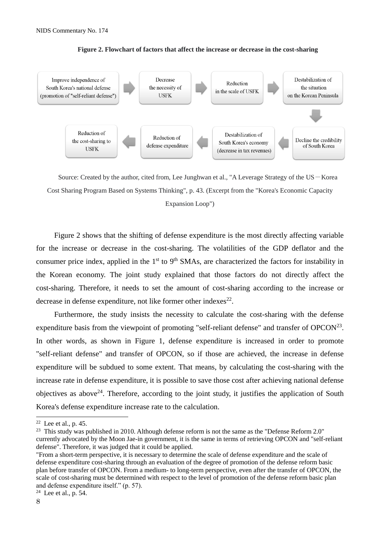

**Figure 2. Flowchart of factors that affect the increase or decrease in the cost-sharing**

Source: Created by the author, cited from, Lee Junghwan et al., "A Leverage Strategy of the US-Korea Cost Sharing Program Based on Systems Thinking", p. 43. (Excerpt from the "Korea's Economic Capacity

Expansion Loop")

Figure 2 shows that the shifting of defense expenditure is the most directly affecting variable for the increase or decrease in the cost-sharing. The volatilities of the GDP deflator and the consumer price index, applied in the  $1<sup>st</sup>$  to  $9<sup>th</sup>$  SMAs, are characterized the factors for instability in the Korean economy. The joint study explained that those factors do not directly affect the cost-sharing. Therefore, it needs to set the amount of cost-sharing according to the increase or decrease in defense expenditure, not like former other indexes $^{22}$ .

Furthermore, the study insists the necessity to calculate the cost-sharing with the defense expenditure basis from the viewpoint of promoting "self-reliant defense" and transfer of OPCON<sup>23</sup>. In other words, as shown in Figure 1, defense expenditure is increased in order to promote "self-reliant defense" and transfer of OPCON, so if those are achieved, the increase in defense expenditure will be subdued to some extent. That means, by calculating the cost-sharing with the increase rate in defense expenditure, it is possible to save those cost after achieving national defense objectives as above<sup>24</sup>. Therefore, according to the joint study, it justifies the application of South Korea's defense expenditure increase rate to the calculation.

<sup>23</sup> This study was published in 2010. Although defense reform is not the same as the "Defense Reform 2.0" currently advocated by the Moon Jae-in government, it is the same in terms of retrieving OPCON and "self-reliant defense". Therefore, it was judged that it could be applied.

 $\overline{a}$ 

 $22$  Lee et al., p. 45.

<sup>&</sup>quot;From a short-term perspective, it is necessary to determine the scale of defense expenditure and the scale of defense expenditure cost-sharing through an evaluation of the degree of promotion of the defense reform basic plan before transfer of OPCON. From a medium- to long-term perspective, even after the transfer of OPCON, the scale of cost-sharing must be determined with respect to the level of promotion of the defense reform basic plan and defense expenditure itself." (p. 57).

 $24$  Lee et al., p. 54.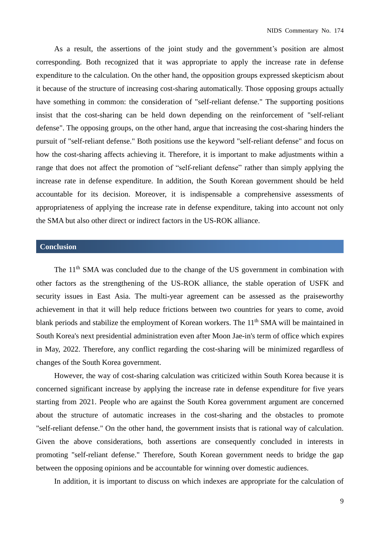As a result, the assertions of the joint study and the government's position are almost corresponding. Both recognized that it was appropriate to apply the increase rate in defense expenditure to the calculation. On the other hand, the opposition groups expressed skepticism about it because of the structure of increasing cost-sharing automatically. Those opposing groups actually have something in common: the consideration of "self-reliant defense." The supporting positions insist that the cost-sharing can be held down depending on the reinforcement of "self-reliant defense". The opposing groups, on the other hand, argue that increasing the cost-sharing hinders the pursuit of "self-reliant defense." Both positions use the keyword "self-reliant defense" and focus on how the cost-sharing affects achieving it. Therefore, it is important to make adjustments within a range that does not affect the promotion of "self-reliant defense" rather than simply applying the increase rate in defense expenditure. In addition, the South Korean government should be held accountable for its decision. Moreover, it is indispensable a comprehensive assessments of appropriateness of applying the increase rate in defense expenditure, taking into account not only the SMA but also other direct or indirect factors in the US-ROK alliance.

## **Conclusion**

The  $11<sup>th</sup> SMA$  was concluded due to the change of the US government in combination with other factors as the strengthening of the US-ROK alliance, the stable operation of USFK and security issues in East Asia. The multi-year agreement can be assessed as the praiseworthy achievement in that it will help reduce frictions between two countries for years to come, avoid blank periods and stabilize the employment of Korean workers. The 11<sup>th</sup> SMA will be maintained in South Korea's next presidential administration even after Moon Jae-in's term of office which expires in May, 2022. Therefore, any conflict regarding the cost-sharing will be minimized regardless of changes of the South Korea government.

However, the way of cost-sharing calculation was criticized within South Korea because it is concerned significant increase by applying the increase rate in defense expenditure for five years starting from 2021. People who are against the South Korea government argument are concerned about the structure of automatic increases in the cost-sharing and the obstacles to promote "self-reliant defense." On the other hand, the government insists that is rational way of calculation. Given the above considerations, both assertions are consequently concluded in interests in promoting "self-reliant defense." Therefore, South Korean government needs to bridge the gap between the opposing opinions and be accountable for winning over domestic audiences.

In addition, it is important to discuss on which indexes are appropriate for the calculation of